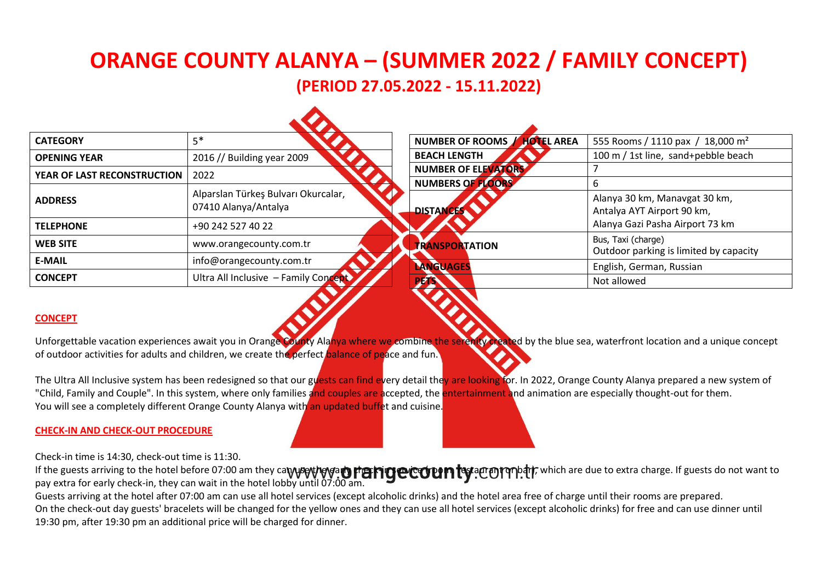# **ORANGE COUNTY ALANYA – (SUMMER 2022 / FAMILY CONCEPT) (PERIOD 27.05.2022 - 15.11.2022)**

| <b>CATEGORY</b>             | $5*$                                                        | NUMBER OF ROOMS / HOTEL AREA | 555 Rooms / 1110 pax / 18,000 m <sup>2</sup>                 |
|-----------------------------|-------------------------------------------------------------|------------------------------|--------------------------------------------------------------|
| <b>OPENING YEAR</b>         | 2016 // Building year 2009                                  | <b>BEACH LENGTH</b>          | 100 m / 1st line, sand+pebble beach                          |
| YEAR OF LAST RECONSTRUCTION | 2022                                                        | NUMBER OF ELEVATORS          |                                                              |
|                             |                                                             | NUMBERS OF FLOORS            |                                                              |
| <b>ADDRESS</b>              | Alparslan Türkeş Bulvarı Okurcalar,<br>07410 Alanya/Antalya | <b>DISTANCES</b>             | Alanya 30 km, Manavgat 30 km,<br>Antalya AYT Airport 90 km,  |
| <b>TELEPHONE</b>            | +90 242 527 40 22                                           |                              | Alanya Gazi Pasha Airport 73 km                              |
| <b>WEB SITE</b>             | www.orangecounty.com.tr                                     | <b>TRANSPORTATION</b>        | Bus, Taxi (charge)<br>Outdoor parking is limited by capacity |
| <b>E-MAIL</b>               | info@orangecounty.com.tr                                    | LANGUAGES                    | English, German, Russian                                     |
| <b>CONCEPT</b>              | Ultra All Inclusive - Family Concept                        | <b>PAN</b><br>$\sim$ $\sim$  | Not allowed                                                  |

# **CONCEPT**

Unforgettable vacation experiences await you in Orange County Alanya where we combine the serently created by the blue sea, waterfront location and a unique concept of outdoor activities for adults and children, we create the perfect balance of peace and fun.

The Ultra All Inclusive system has been redesigned so that our guests can find every detail they are looking for. In 2022, Orange County Alanya prepared a new system of "Child, Family and Couple". In this system, where only families and couples are accepted, the entertainment and animation are especially thought-out for them. You will see a completely different Orange County Alanya with an updated buffet and cuisine.

## **CHECK-IN AND CHECK-OUT PROCEDURE**

Check-in time is 14:30, check-out time is 11:30.

If the guests arriving to the hotel before 07:00 am they ca**ryuseytheysary preservice (room, rest**aurant and the function are due to extra charge. If guests do not want to pay extra for early check-in, they can wait in the hotel lobby until 07:00 am.

Guests arriving at the hotel after 07:00 am can use all hotel services (except alcoholic drinks) and the hotel area free of charge until their rooms are prepared. On the check-out day guests' bracelets will be changed for the yellow ones and they can use all hotel services (except alcoholic drinks) for free and can use dinner until 19:30 pm, after 19:30 pm an additional price will be charged for dinner.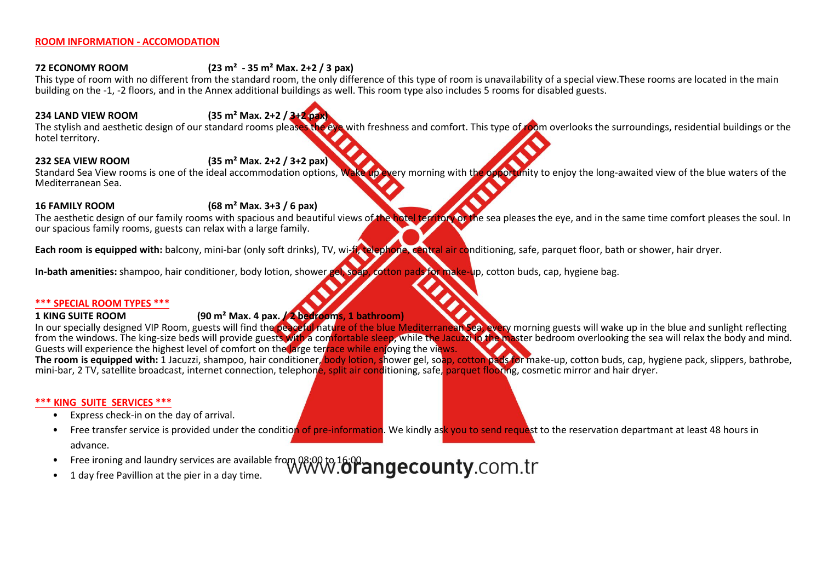#### **ROOM INFORMATION - ACCOMODATION**

# **72 ECONOMY ROOM (23 m² - 35 m² Маx. 2+2 / 3 pax)**

This type of room with no different from the standard room, the only difference of this type of room is unavailability of a special view.These rooms are located in the main building on the -1, -2 floors, and in the Annex additional buildings as well. This room type also includes 5 rooms for disabled guests.

# **234 LAND VIEW ROOM (35 m² Маx. 2+2 / 3+2 pax)**

The stylish and aesthetic design of our standard rooms pleases the eye with freshness and comfort. This type of room overlooks the surroundings, residential buildings or the hotel territory.

## **232 SEA VIEW ROOM (35 m² Маx. 2+2 / 3+2 pax)**

Standard Sea View rooms is one of the ideal accommodation options, Wake up every morning with the opportunity to enjoy the long-awaited view of the blue waters of the Mediterranean Sea.

#### **16 FAMILY ROOM (68 m² Маx. 3+3 / 6 pax)**

The aesthetic design of our family rooms with spacious and beautiful views of the hotel territory of the sea pleases the eye, and in the same time comfort pleases the soul. In our spacious family rooms, guests can relax with a large family.

Each room is equipped with: balcony, mini-bar (only soft drinks), TV, wi-fi, telephone, central air conditioning, safe, parquet floor, bath or shower, hair dryer.

**In-bath amenities:** shampoo, hair conditioner, body lotion, shower gel, soap, cotton pads for make-up, cotton buds, cap, hygiene bag.

#### **\*\*\* SPECIAL ROOM TYPES \*\*\***

# **1 KING SUITE ROOM (90 m² Маx. 4 pax. / 2 bedrooms, 1 bathroom)**

In our specially designed VIP Room, guests will find the peaceful nature of the blue Mediterranean Sea, every morning guests will wake up in the blue and sunlight reflecting from the windows. The king-size beds will provide guests with a comfortable sleep, while the Jacuzzi in the master bedroom overlooking the sea will relax the body and mind. Guests will experience the highest level of comfort on the large terrace while enjoying the views.

**The room is equipped with:** 1 Jacuzzi, shampoo, hair conditioner, body lotion, shower gel, soap, cotton pads for make-up, cotton buds, cap, hygiene pack, slippers, bathrobe, mini-bar, 2 TV, satellite broadcast, internet connection, telephone, split air conditioning, safe, parquet flooring, cosmetic mirror and hair dryer.

#### **\*\*\* KING SUITE SERVICES \*\*\***

- Express check-in on the day of arrival.
- Free transfer service is provided under the condition of pre-information. We kindly ask you to send request to the reservation departmant at least 48 hours in advance.
- Free ironing and laundry services are available from 08:00 to 16:00 angecounty.com.tr
- 1 day free Pavillion at the pier in a day time.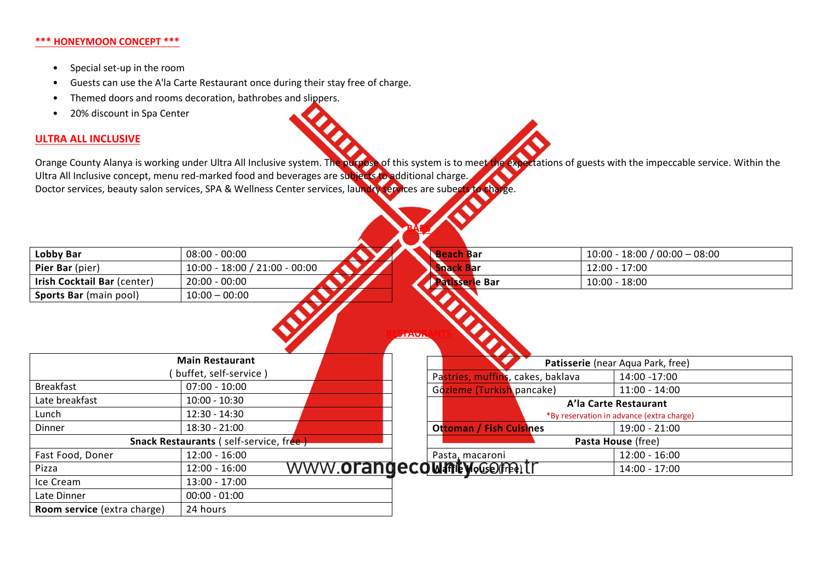#### **\*\*\* HONEYMOON CONCEPT \*\*\***

- Special set-up in the room
- Guests can use the A'la Carte Restaurant once during their stay free of charge.
- Themed doors and rooms decoration, bathrobes and slippers.
- 20% discount in Spa Center

# **ULTRA ALL INCLUSIVE**

Orange County Alanya is working under Ultra All Inclusive system. The purpose of this system is to meet the expectations of guests with the impeccable service. Within the Ultra All Inclusive concept, menu red-marked food and beverages are subjects to additional charge. Doctor services, beauty salon services, SPA & Wellness Center services, laundry services are subects to charge.

**BARS**

| Lobby Bar                                     | $08:00 - 00:00$                 | <b>Beach Bar</b>                          |  | $10:00 - 18:00 / 00:00 - 08:00$ |  |
|-----------------------------------------------|---------------------------------|-------------------------------------------|--|---------------------------------|--|
| Pier Bar (pier)                               | $10:00 - 18:00 / 21:00 - 00:00$ | <b>Snack Bar</b>                          |  | $12:00 - 17:00$                 |  |
| Irish Cocktail Bar (center)                   | $20:00 - 00:00$                 | <b>Patisserie Bar</b>                     |  | $10:00 - 18:00$                 |  |
| Sports Bar (main pool)                        | $10:00 - 00:00$                 |                                           |  |                                 |  |
|                                               | <b>Main Restaurant</b>          | <b>ATAUA</b>                              |  |                                 |  |
| buffet, self-service)                         |                                 | Patisserie (near Aqua Park, free)         |  |                                 |  |
|                                               |                                 | Pastries, muffins, cakes, baklava         |  | 14:00 -17:00                    |  |
| <b>Breakfast</b>                              | $07:00 - 10:00$                 | Gözleme (Turkish pancake)                 |  | $11:00 - 14:00$                 |  |
| Late breakfast                                | $10:00 - 10:30$                 | A'la Carte Restaurant                     |  |                                 |  |
| Lunch                                         | $12:30 - 14:30$                 | *By reservation in advance (extra charge) |  |                                 |  |
| Dinner                                        | $18:30 - 21:00$                 | <b>Ottoman / Fish Cuisines</b>            |  | $19:00 - 21:00$                 |  |
| <b>Snack Restaurants (self-service, free)</b> |                                 | Pasta House (free)                        |  |                                 |  |
| Fast Food, Doner                              | $12:00 - 16:00$                 | Pasta, macaroni                           |  | $12:00 - 16:00$                 |  |
| Pizza                                         | $12:00 - 16:00$                 | WWW.OrangecowneyoGometit                  |  | $14:00 - 17:00$                 |  |
| Ice Cream                                     | $13:00 - 17:00$                 |                                           |  |                                 |  |
| Late Dinner                                   | $00:00 - 01:00$                 |                                           |  |                                 |  |
| Room service (extra charge)                   | 24 hours                        |                                           |  |                                 |  |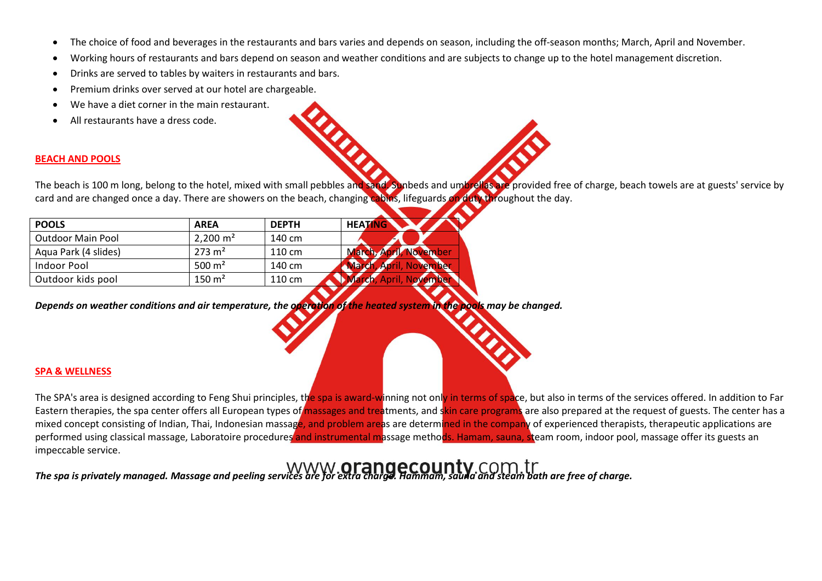- The choice of food and beverages in the restaurants and bars varies and depends on season, including the off-season months; March, April and November.
- Working hours of restaurants and bars depend on season and weather conditions and are subjects to change up to the hotel management discretion.
- Drinks are served to tables by waiters in restaurants and bars.
- Premium drinks over served at our hotel are chargeable.
- We have a diet corner in the main restaurant.
- All restaurants have a dress code.

# **BEACH AND POOLS**

The beach is 100 m long, belong to the hotel, mixed with small pebbles and sand. Sunbeds and umbrellas are provided free of charge, beach towels are at guests' service by card and are changed once a day. There are showers on the beach, changing cabins, lifeguards on duty throughout the day.

| <b>POOLS</b>             | <b>AREA</b>         | <b>DEPTH</b> | <b>HEATING</b>                                  |
|--------------------------|---------------------|--------------|-------------------------------------------------|
| <b>Outdoor Main Pool</b> | $2,200 \text{ m}^2$ | 140 cm       |                                                 |
| Aqua Park (4 slides)     | $273 \text{ m}^2$   | 110 cm       | March, April, November                          |
| Indoor Pool              | 500 $m2$            | 140 cm       | <b>April, November</b><br><b>March.</b>         |
| Outdoor kids pool        | $150 \text{ m}^2$   | 110 cm       | November<br><b>April</b><br><b><i>Farch</i></b> |

*Depends on weather conditions and air temperature, the operation of the heated system in the pools may be changed.*

# **SPA & WELLNESS**

The SPA's area is designed according to Feng Shui principles, the spa is award-winning not only in terms of space, but also in terms of the services offered. In addition to Far Eastern therapies, the spa center offers all European types of massages and treatments, and skin care programs are also prepared at the request of guests. The center has a mixed concept consisting of Indian, Thai, Indonesian massage, and problem areas are determined in the company of experienced therapists, therapeutic applications are performed using classical massage, Laboratoire procedures and instrumental massage methods. Hamam, sauna, steam room, indoor pool, massage offer its guests an impeccable service.

*The spa is privately managed. Massage and peeling services are for extra charge. Hammam, sauna and steam bath are free of charge.*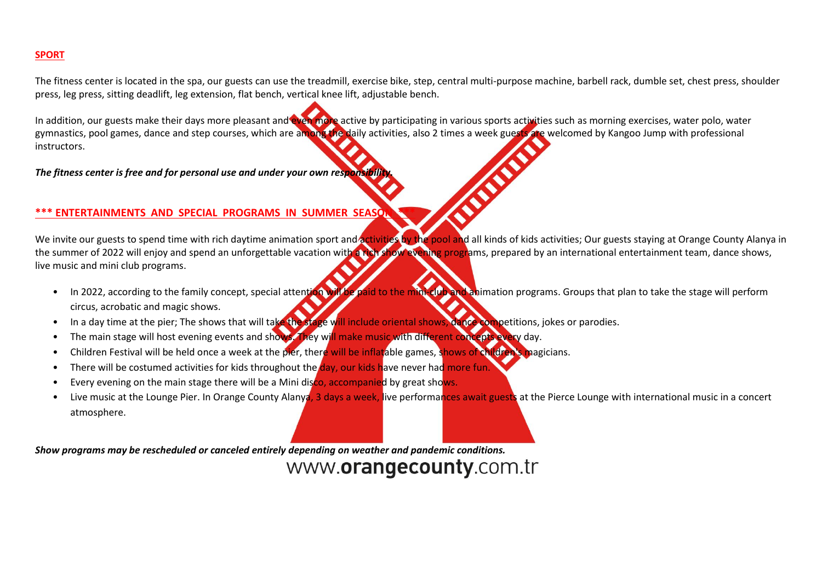#### **SPORT**

The fitness center is located in the spa, our guests can use the treadmill, exercise bike, step, central multi-purpose machine, barbell rack, dumble set, chest press, shoulder press, leg press, sitting deadlift, leg extension, flat bench, vertical knee lift, adjustable bench.

In addition, our guests make their days more pleasant and even more active by participating in various sports activities such as morning exercises, water polo, water gymnastics, pool games, dance and step courses, which are among the daily activities, also 2 times a week guests are welcomed by Kangoo Jump with professional instructors.

*The fitness center is free and for personal use and under your own responsibility.*

## **\*\*\* ENTERTAINMENTS AND SPECIAL PROGRAMS IN SUMMER SEASON \*\*\***

We invite our guests to spend time with rich daytime animation sport and activities by the pool and all kinds of kids activities; Our guests staying at Orange County Alanya in the summer of 2022 will enjoy and spend an unforgettable vacation with a rich show evening programs, prepared by an international entertainment team, dance shows, live music and mini club programs.

- In 2022, according to the family concept, special attention will be paid to the mini-club and animation programs. Groups that plan to take the stage will perform circus, acrobatic and magic shows.
- In a day time at the pier; The shows that will take the stage will include oriental shows, dance competitions, jokes or parodies.
- The main stage will host evening events and shows. They will make music with different concepts every day.
- Children Festival will be held once a week at the pier, there will be inflatable games, shows of children's magicians.
- There will be costumed activities for kids throughout the day, our kids have never had more fun.
- Every evening on the main stage there will be a Mini disco, accompanied by great shows.
- Live music at the Lounge Pier. In Orange County Alanya, 3 days a week, live performances await guests at the Pierce Lounge with international music in a concert atmosphere.

*Show programs may be rescheduled or canceled entirely depending on weather and pandemic conditions.*

# www.orangecounty.com.tr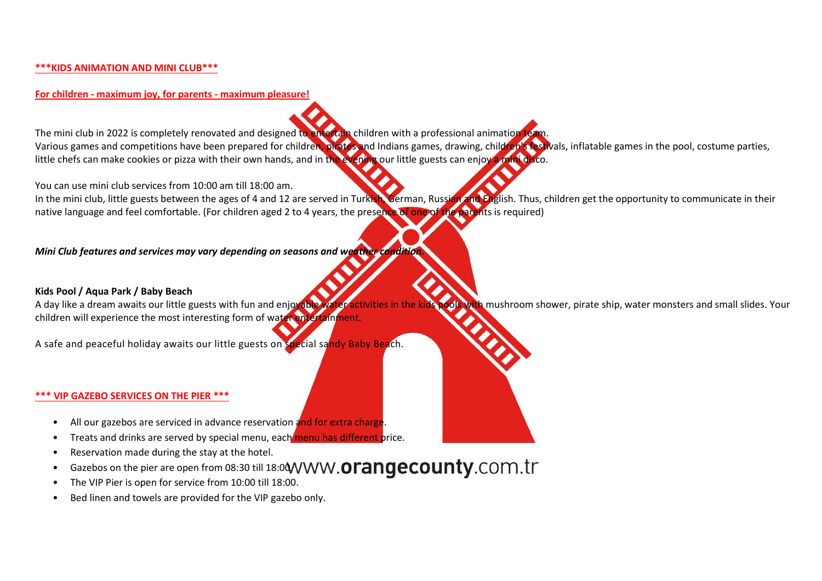#### **\*\*\*KIDS ANIMATION AND MINI CLUB\*\*\***

**For children - maximum joy, for parents - maximum pleasure!**

The mini club in 2022 is completely renovated and designed to entertain children with a professional animation team. Various games and competitions have been prepared for children, pirates and Indians games, drawing, children's festivals, inflatable games in the pool, costume parties, little chefs can make cookies or pizza with their own hands, and in the evening our little guests can enjoy a mini disco.

You can use mini club services from 10:00 am till 18:00 am.

In the mini club, little guests between the ages of 4 and 12 are served in Turkish, German, Russian and English. Thus, children get the opportunity to communicate in their native language and feel comfortable. (For children aged 2 to 4 years, the presence of one of the parents is required)

*Mini Club features and services may vary depending on seasons and weather condition.*

**Kids Pool / Aqua Park / Baby Beach** ools with mushroom shower, pirate ship, water monsters and small slides. Your children will experience the most interesting form of water entertainment.

A safe and peaceful holiday awaits our little guests on special sandy Baby Beach.

#### **\*\*\* VIP GAZEBO SERVICES ON THE PIER \*\*\***

- All our gazebos are serviced in advance reservation and for extra charge.
- Treats and drinks are served by special menu, each menu has different price.
- Reservation made during the stay at the hotel.
- Gazebos on the pier are open from 08:30 till 18:00 WWW.Orangecounty.com.tr
- The VIP Pier is open for service from 10:00 till 18:00.
- Bed linen and towels are provided for the VIP gazebo only.